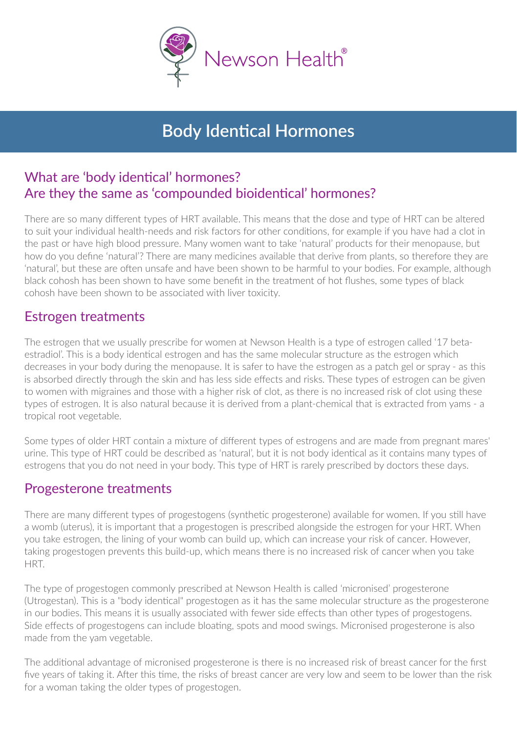

# **Body Identical Hormones**

### What are 'body identical' hormones? Are they the same as 'compounded bioidentical' hormones?

There are so many different types of HRT available. This means that the dose and type of HRT can be altered to suit your individual health-needs and risk factors for other conditions, for example if you have had a clot in the past or have high blood pressure. Many women want to take 'natural' products for their menopause, but how do you define 'natural'? There are many medicines available that derive from plants, so therefore they are 'natural', but these are often unsafe and have been shown to be harmful to your bodies. For example, although black cohosh has been shown to have some benefit in the treatment of hot flushes, some types of black cohosh have been shown to be associated with liver toxicity.

## Estrogen treatments

The estrogen that we usually prescribe for women at Newson Health is a type of estrogen called '17 betaestradiol'. This is a body identical estrogen and has the same molecular structure as the estrogen which decreases in your body during the menopause. It is safer to have the estrogen as a patch gel or spray - as this is absorbed directly through the skin and has less side effects and risks. These types of estrogen can be given to women with migraines and those with a higher risk of clot, as there is no increased risk of clot using these types of estrogen. It is also natural because it is derived from a plant-chemical that is extracted from yams - a tropical root vegetable.

Some types of older HRT contain a mixture of different types of estrogens and are made from pregnant mares' urine. This type of HRT could be described as 'natural', but it is not body identical as it contains many types of estrogens that you do not need in your body. This type of HRT is rarely prescribed by doctors these days.

### Progesterone treatments

There are many different types of progestogens (synthetic progesterone) available for women. If you still have a womb (uterus), it is important that a progestogen is prescribed alongside the estrogen for your HRT. When you take estrogen, the lining of your womb can build up, which can increase your risk of cancer. However, taking progestogen prevents this build-up, which means there is no increased risk of cancer when you take **HRT** 

The type of progestogen commonly prescribed at Newson Health is called 'micronised' progesterone (Utrogestan). This is a "body identical" progestogen as it has the same molecular structure as the progesterone in our bodies. This means it is usually associated with fewer side effects than other types of progestogens. Side effects of progestogens can include bloating, spots and mood swings. Micronised progesterone is also made from the yam vegetable.

The additional advantage of micronised progesterone is there is no increased risk of breast cancer for the first five years of taking it. After this time, the risks of breast cancer are very low and seem to be lower than the risk for a woman taking the older types of progestogen.